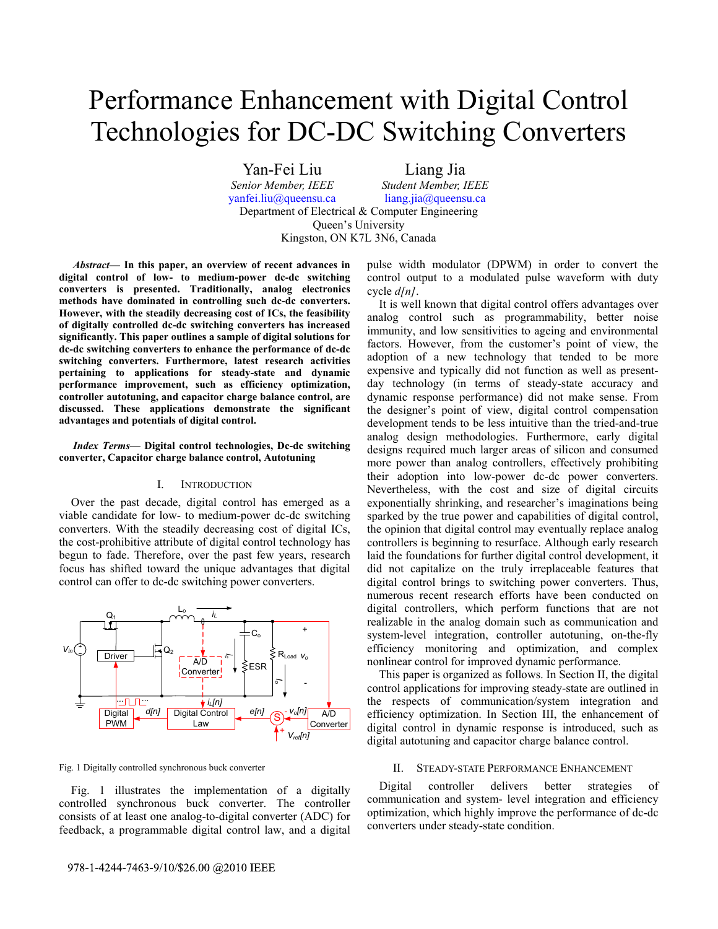# Performance Enhancement with Digital Control Technologies for DC-DC Switching Converters

Yan-Fei Liu *Senior Member, IEEE*  yanfei.liu@queensu.ca

Liang Jia *Student Member, IEEE*  liang.jia@queensu.ca

Department of Electrical & Computer Engineering Queen's University Kingston, ON K7L 3N6, Canada

*Abstract***— In this paper, an overview of recent advances in digital control of low- to medium-power dc-dc switching converters is presented. Traditionally, analog electronics methods have dominated in controlling such dc-dc converters. However, with the steadily decreasing cost of ICs, the feasibility of digitally controlled dc-dc switching converters has increased significantly. This paper outlines a sample of digital solutions for dc-dc switching converters to enhance the performance of dc-dc switching converters. Furthermore, latest research activities pertaining to applications for steady-state and dynamic performance improvement, such as efficiency optimization, controller autotuning, and capacitor charge balance control, are discussed. These applications demonstrate the significant advantages and potentials of digital control.** 

#### *Index Terms***— Digital control technologies, Dc-dc switching converter, Capacitor charge balance control, Autotuning**

#### I. INTRODUCTION

Over the past decade, digital control has emerged as a viable candidate for low- to medium-power dc-dc switching converters. With the steadily decreasing cost of digital ICs, the cost-prohibitive attribute of digital control technology has begun to fade. Therefore, over the past few years, research focus has shifted toward the unique advantages that digital control can offer to dc-dc switching power converters.



Fig. 1 Digitally controlled synchronous buck converter

Fig. 1 illustrates the implementation of a digitally controlled synchronous buck converter. The controller consists of at least one analog-to-digital converter (ADC) for feedback, a programmable digital control law, and a digital

pulse width modulator (DPWM) in order to convert the control output to a modulated pulse waveform with duty cycle *d[n]*.

It is well known that digital control offers advantages over analog control such as programmability, better noise immunity, and low sensitivities to ageing and environmental factors. However, from the customer's point of view, the adoption of a new technology that tended to be more expensive and typically did not function as well as presentday technology (in terms of steady-state accuracy and dynamic response performance) did not make sense. From the designer's point of view, digital control compensation development tends to be less intuitive than the tried-and-true analog design methodologies. Furthermore, early digital designs required much larger areas of silicon and consumed more power than analog controllers, effectively prohibiting their adoption into low-power dc-dc power converters. Nevertheless, with the cost and size of digital circuits exponentially shrinking, and researcher's imaginations being sparked by the true power and capabilities of digital control, the opinion that digital control may eventually replace analog controllers is beginning to resurface. Although early research laid the foundations for further digital control development, it did not capitalize on the truly irreplaceable features that digital control brings to switching power converters. Thus, numerous recent research efforts have been conducted on digital controllers, which perform functions that are not realizable in the analog domain such as communication and system-level integration, controller autotuning, on-the-fly efficiency monitoring and optimization, and complex nonlinear control for improved dynamic performance.

This paper is organized as follows. In Section II, the digital control applications for improving steady-state are outlined in the respects of communication/system integration and efficiency optimization. In Section III, the enhancement of digital control in dynamic response is introduced, such as digital autotuning and capacitor charge balance control.

## II. STEADY-STATE PERFORMANCE ENHANCEMENT

Digital controller delivers better strategies of communication and system- level integration and efficiency optimization, which highly improve the performance of dc-dc converters under steady-state condition.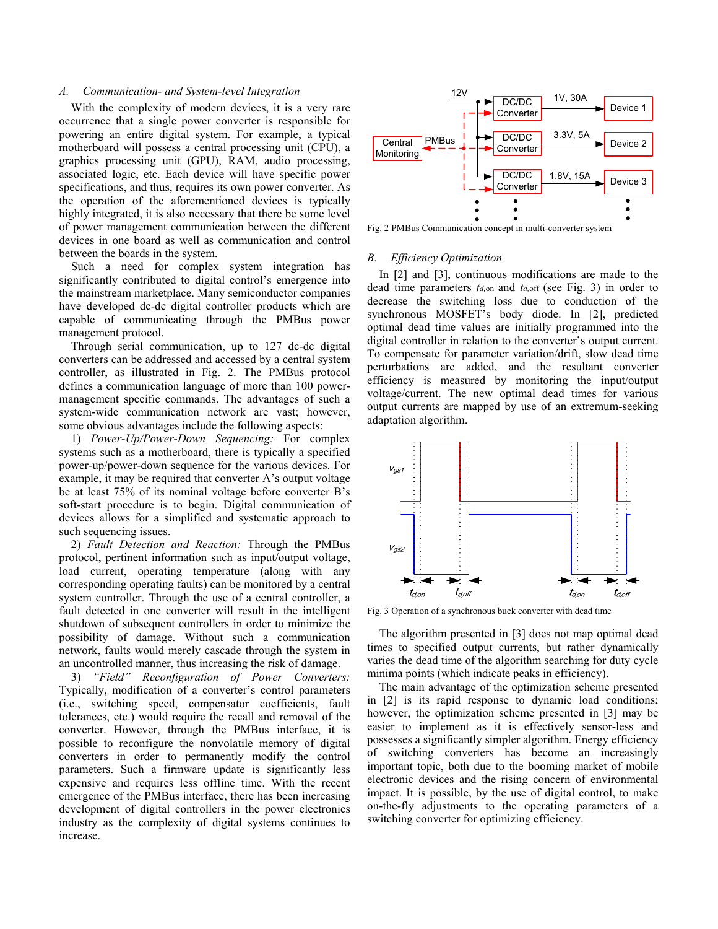## *A. Communication- and System-level Integration*

With the complexity of modern devices, it is a very rare occurrence that a single power converter is responsible for powering an entire digital system. For example, a typical motherboard will possess a central processing unit (CPU), a graphics processing unit (GPU), RAM, audio processing, associated logic, etc. Each device will have specific power specifications, and thus, requires its own power converter. As the operation of the aforementioned devices is typically highly integrated, it is also necessary that there be some level of power management communication between the different devices in one board as well as communication and control between the boards in the system.

Such a need for complex system integration has significantly contributed to digital control's emergence into the mainstream marketplace. Many semiconductor companies have developed dc-dc digital controller products which are capable of communicating through the PMBus power management protocol.

Through serial communication, up to 127 dc-dc digital converters can be addressed and accessed by a central system controller, as illustrated in Fig. 2. The PMBus protocol defines a communication language of more than 100 powermanagement specific commands. The advantages of such a system-wide communication network are vast; however, some obvious advantages include the following aspects:

1) *Power-Up/Power-Down Sequencing:* For complex systems such as a motherboard, there is typically a specified power-up/power-down sequence for the various devices. For example, it may be required that converter A's output voltage be at least 75% of its nominal voltage before converter B's soft-start procedure is to begin. Digital communication of devices allows for a simplified and systematic approach to such sequencing issues.

2) *Fault Detection and Reaction:* Through the PMBus protocol, pertinent information such as input/output voltage, load current, operating temperature (along with any corresponding operating faults) can be monitored by a central system controller. Through the use of a central controller, a fault detected in one converter will result in the intelligent shutdown of subsequent controllers in order to minimize the possibility of damage. Without such a communication network, faults would merely cascade through the system in an uncontrolled manner, thus increasing the risk of damage.

3) *"Field" Reconfiguration of Power Converters:*  Typically, modification of a converter's control parameters (i.e., switching speed, compensator coefficients, fault tolerances, etc.) would require the recall and removal of the converter. However, through the PMBus interface, it is possible to reconfigure the nonvolatile memory of digital converters in order to permanently modify the control parameters. Such a firmware update is significantly less expensive and requires less offline time. With the recent emergence of the PMBus interface, there has been increasing development of digital controllers in the power electronics industry as the complexity of digital systems continues to increase.



Fig. 2 PMBus Communication concept in multi-converter system

# *B. Efficiency Optimization*

In [2] and [3], continuous modifications are made to the dead time parameters *td,*on and *td,*off (see Fig. 3) in order to decrease the switching loss due to conduction of the synchronous MOSFET's body diode. In [2], predicted optimal dead time values are initially programmed into the digital controller in relation to the converter's output current. To compensate for parameter variation/drift, slow dead time perturbations are added, and the resultant converter efficiency is measured by monitoring the input/output voltage/current. The new optimal dead times for various output currents are mapped by use of an extremum-seeking adaptation algorithm.



Fig. 3 Operation of a synchronous buck converter with dead time

The algorithm presented in [3] does not map optimal dead times to specified output currents, but rather dynamically varies the dead time of the algorithm searching for duty cycle minima points (which indicate peaks in efficiency).

The main advantage of the optimization scheme presented in [2] is its rapid response to dynamic load conditions; however, the optimization scheme presented in [3] may be easier to implement as it is effectively sensor-less and possesses a significantly simpler algorithm. Energy efficiency of switching converters has become an increasingly important topic, both due to the booming market of mobile electronic devices and the rising concern of environmental impact. It is possible, by the use of digital control, to make on-the-fly adjustments to the operating parameters of a switching converter for optimizing efficiency.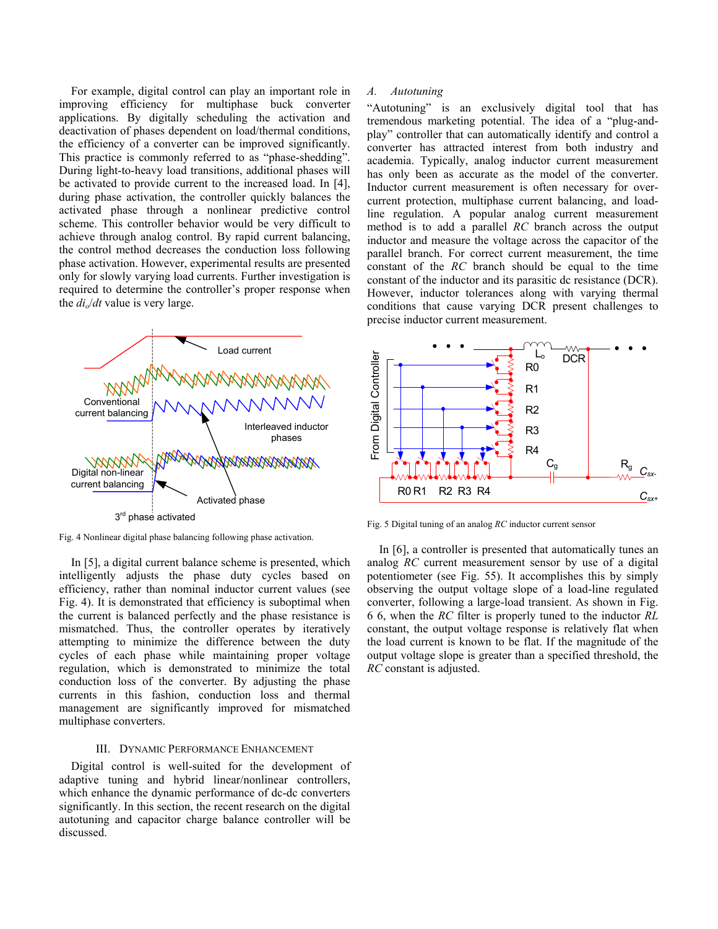For example, digital control can play an important role in improving efficiency for multiphase buck converter applications. By digitally scheduling the activation and deactivation of phases dependent on load/thermal conditions, the efficiency of a converter can be improved significantly. This practice is commonly referred to as "phase-shedding". During light-to-heavy load transitions, additional phases will be activated to provide current to the increased load. In [4], during phase activation, the controller quickly balances the activated phase through a nonlinear predictive control scheme. This controller behavior would be very difficult to achieve through analog control. By rapid current balancing, the control method decreases the conduction loss following phase activation. However, experimental results are presented only for slowly varying load currents. Further investigation is required to determine the controller's proper response when the  $di<sub>o</sub>/dt$  value is very large.



Fig. 4 Nonlinear digital phase balancing following phase activation.

In [5], a digital current balance scheme is presented, which intelligently adjusts the phase duty cycles based on efficiency, rather than nominal inductor current values (see Fig. 4). It is demonstrated that efficiency is suboptimal when the current is balanced perfectly and the phase resistance is mismatched. Thus, the controller operates by iteratively attempting to minimize the difference between the duty cycles of each phase while maintaining proper voltage regulation, which is demonstrated to minimize the total conduction loss of the converter. By adjusting the phase currents in this fashion, conduction loss and thermal management are significantly improved for mismatched multiphase converters.

#### III. DYNAMIC PERFORMANCE ENHANCEMENT

Digital control is well-suited for the development of adaptive tuning and hybrid linear/nonlinear controllers, which enhance the dynamic performance of dc-dc converters significantly. In this section, the recent research on the digital autotuning and capacitor charge balance controller will be discussed.

#### *A. Autotuning*

"Autotuning" is an exclusively digital tool that has tremendous marketing potential. The idea of a "plug-andplay" controller that can automatically identify and control a converter has attracted interest from both industry and academia. Typically, analog inductor current measurement has only been as accurate as the model of the converter. Inductor current measurement is often necessary for overcurrent protection, multiphase current balancing, and loadline regulation. A popular analog current measurement method is to add a parallel *RC* branch across the output inductor and measure the voltage across the capacitor of the parallel branch. For correct current measurement, the time constant of the *RC* branch should be equal to the time constant of the inductor and its parasitic dc resistance (DCR). However, inductor tolerances along with varying thermal conditions that cause varying DCR present challenges to precise inductor current measurement.



Fig. 5 Digital tuning of an analog *RC* inductor current sensor

In [6], a controller is presented that automatically tunes an analog *RC* current measurement sensor by use of a digital potentiometer (see Fig. 55). It accomplishes this by simply observing the output voltage slope of a load-line regulated converter, following a large-load transient. As shown in Fig. 6 6, when the *RC* filter is properly tuned to the inductor *RL* constant, the output voltage response is relatively flat when the load current is known to be flat. If the magnitude of the output voltage slope is greater than a specified threshold, the *RC* constant is adjusted.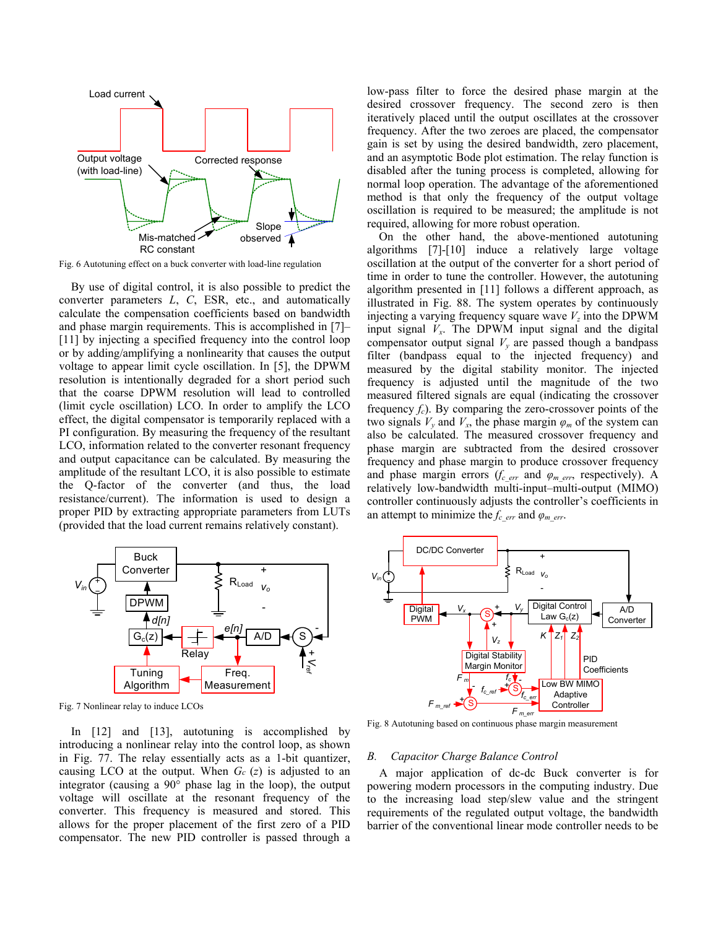

Fig. 6 Autotuning effect on a buck converter with load-line regulation

By use of digital control, it is also possible to predict the converter parameters *L*, *C*, ESR, etc., and automatically calculate the compensation coefficients based on bandwidth and phase margin requirements. This is accomplished in [7]– [11] by injecting a specified frequency into the control loop or by adding/amplifying a nonlinearity that causes the output voltage to appear limit cycle oscillation. In [5], the DPWM resolution is intentionally degraded for a short period such that the coarse DPWM resolution will lead to controlled (limit cycle oscillation) LCO. In order to amplify the LCO effect, the digital compensator is temporarily replaced with a PI configuration. By measuring the frequency of the resultant LCO, information related to the converter resonant frequency and output capacitance can be calculated. By measuring the amplitude of the resultant LCO, it is also possible to estimate the Q-factor of the converter (and thus, the load resistance/current). The information is used to design a proper PID by extracting appropriate parameters from LUTs (provided that the load current remains relatively constant).



Fig. 7 Nonlinear relay to induce LCOs

In [12] and [13], autotuning is accomplished by introducing a nonlinear relay into the control loop, as shown in Fig. 77. The relay essentially acts as a 1-bit quantizer, causing LCO at the output. When *Gc* (*z*) is adjusted to an integrator (causing a 90° phase lag in the loop), the output voltage will oscillate at the resonant frequency of the converter. This frequency is measured and stored. This allows for the proper placement of the first zero of a PID compensator. The new PID controller is passed through a

low-pass filter to force the desired phase margin at the desired crossover frequency. The second zero is then iteratively placed until the output oscillates at the crossover frequency. After the two zeroes are placed, the compensator gain is set by using the desired bandwidth, zero placement, and an asymptotic Bode plot estimation. The relay function is disabled after the tuning process is completed, allowing for normal loop operation. The advantage of the aforementioned method is that only the frequency of the output voltage oscillation is required to be measured; the amplitude is not required, allowing for more robust operation.

On the other hand, the above-mentioned autotuning algorithms [7]-[10] induce a relatively large voltage oscillation at the output of the converter for a short period of time in order to tune the controller. However, the autotuning algorithm presented in [11] follows a different approach, as illustrated in Fig. 88. The system operates by continuously injecting a varying frequency square wave  $V<sub>z</sub>$  into the DPWM input signal *Vx*. The DPWM input signal and the digital compensator output signal  $V<sub>v</sub>$  are passed though a bandpass filter (bandpass equal to the injected frequency) and measured by the digital stability monitor. The injected frequency is adjusted until the magnitude of the two measured filtered signals are equal (indicating the crossover frequency  $f_c$ ). By comparing the zero-crossover points of the two signals  $V_y$  and  $V_x$ , the phase margin  $\varphi_m$  of the system can also be calculated. The measured crossover frequency and phase margin are subtracted from the desired crossover frequency and phase margin to produce crossover frequency and phase margin errors  $(f_{c\_err}$  and  $\varphi_{m\_err}$ , respectively). A relatively low-bandwidth multi-input–multi-output (MIMO) controller continuously adjusts the controller's coefficients in an attempt to minimize the  $f_c$ <sub>err</sub> and  $\varphi_m$ <sub>err</sub>.



Fig. 8 Autotuning based on continuous phase margin measurement

#### *B. Capacitor Charge Balance Control*

A major application of dc-dc Buck converter is for powering modern processors in the computing industry. Due to the increasing load step/slew value and the stringent requirements of the regulated output voltage, the bandwidth barrier of the conventional linear mode controller needs to be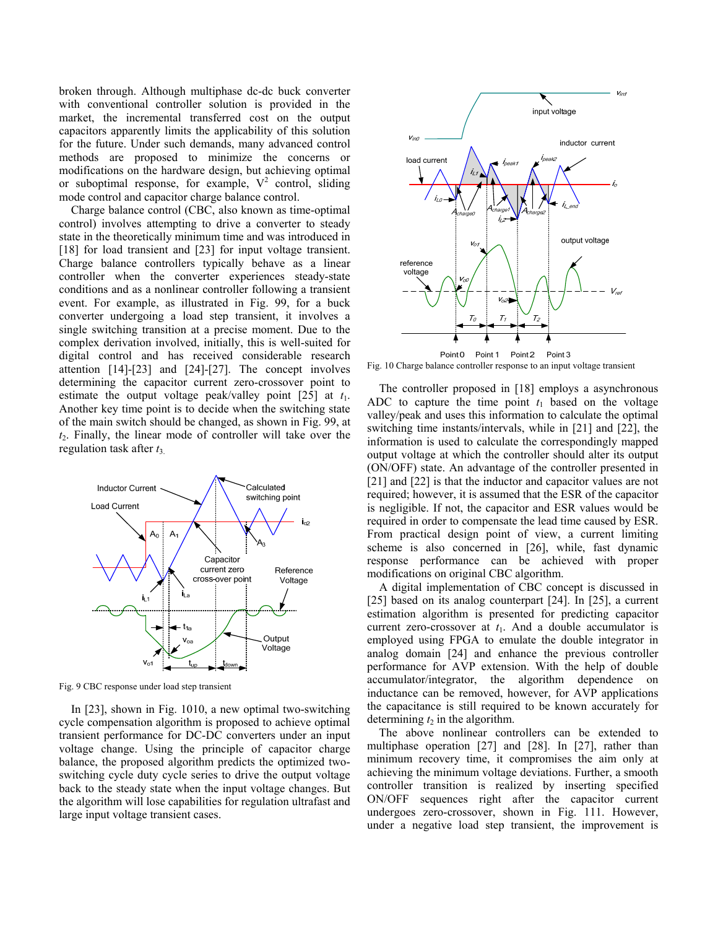broken through. Although multiphase dc-dc buck converter with conventional controller solution is provided in the market, the incremental transferred cost on the output capacitors apparently limits the applicability of this solution for the future. Under such demands, many advanced control methods are proposed to minimize the concerns or modifications on the hardware design, but achieving optimal or suboptimal response, for example,  $V^2$  control, sliding mode control and capacitor charge balance control.

Charge balance control (CBC, also known as time-optimal control) involves attempting to drive a converter to steady state in the theoretically minimum time and was introduced in [18] for load transient and [23] for input voltage transient. Charge balance controllers typically behave as a linear controller when the converter experiences steady-state conditions and as a nonlinear controller following a transient event. For example, as illustrated in Fig. 99, for a buck converter undergoing a load step transient, it involves a single switching transition at a precise moment. Due to the complex derivation involved, initially, this is well-suited for digital control and has received considerable research attention [14]-[23] and [24]-[27]. The concept involves determining the capacitor current zero-crossover point to estimate the output voltage peak/valley point [25] at *t*1. Another key time point is to decide when the switching state of the main switch should be changed, as shown in Fig. 99, at *t*2. Finally, the linear mode of controller will take over the regulation task after  $t_3$ .



Fig. 9 CBC response under load step transient

In [23], shown in Fig. 1010, a new optimal two-switching cycle compensation algorithm is proposed to achieve optimal transient performance for DC-DC converters under an input voltage change. Using the principle of capacitor charge balance, the proposed algorithm predicts the optimized twoswitching cycle duty cycle series to drive the output voltage back to the steady state when the input voltage changes. But the algorithm will lose capabilities for regulation ultrafast and large input voltage transient cases.



Fig. 10 Charge balance controller response to an input voltage transient

The controller proposed in [18] employs a asynchronous ADC to capture the time point  $t_1$  based on the voltage valley/peak and uses this information to calculate the optimal switching time instants/intervals, while in [21] and [22], the information is used to calculate the correspondingly mapped output voltage at which the controller should alter its output (ON/OFF) state. An advantage of the controller presented in [21] and [22] is that the inductor and capacitor values are not required; however, it is assumed that the ESR of the capacitor is negligible. If not, the capacitor and ESR values would be required in order to compensate the lead time caused by ESR. From practical design point of view, a current limiting scheme is also concerned in [26], while, fast dynamic response performance can be achieved with proper modifications on original CBC algorithm.

A digital implementation of CBC concept is discussed in [25] based on its analog counterpart [24]. In [25], a current estimation algorithm is presented for predicting capacitor current zero-crossover at  $t_1$ . And a double accumulator is employed using FPGA to emulate the double integrator in analog domain [24] and enhance the previous controller performance for AVP extension. With the help of double accumulator/integrator, the algorithm dependence on inductance can be removed, however, for AVP applications the capacitance is still required to be known accurately for determining  $t_2$  in the algorithm.

The above nonlinear controllers can be extended to multiphase operation [27] and [28]. In [27], rather than minimum recovery time, it compromises the aim only at achieving the minimum voltage deviations. Further, a smooth controller transition is realized by inserting specified ON/OFF sequences right after the capacitor current undergoes zero-crossover, shown in Fig. 111. However, under a negative load step transient, the improvement is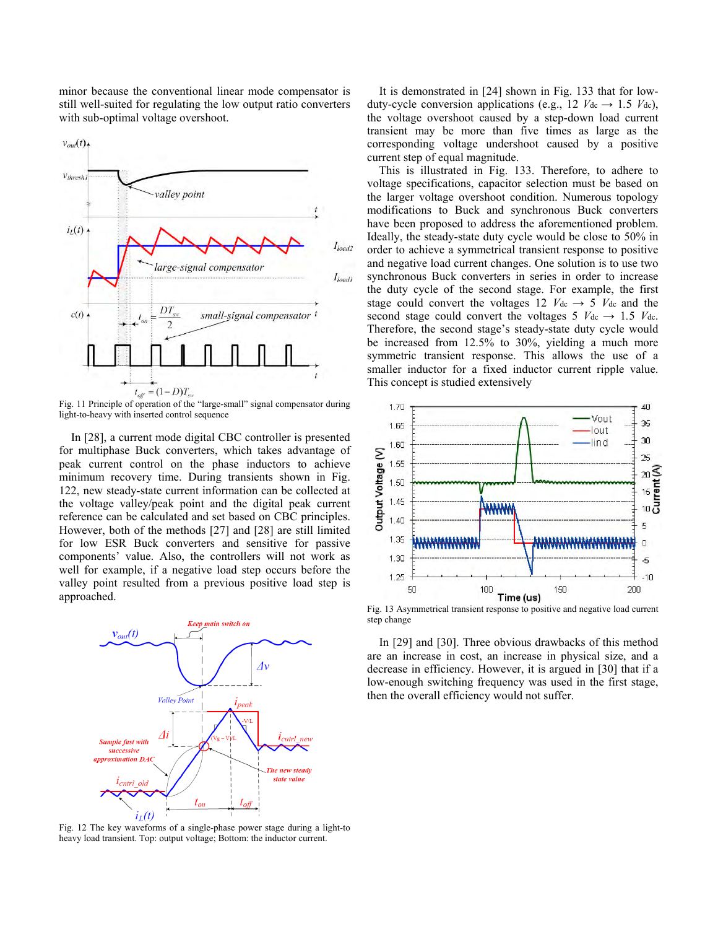



Fig. 11 Principle of operation of the "large-small" signal compensator during light-to-heavy with inserted control sequence

In [28], a current mode digital CBC controller is presented for multiphase Buck converters, which takes advantage of peak current control on the phase inductors to achieve minimum recovery time. During transients shown in Fig. 122, new steady-state current information can be collected at the voltage valley/peak point and the digital peak current reference can be calculated and set based on CBC principles. However, both of the methods [27] and [28] are still limited for low ESR Buck converters and sensitive for passive components' value. Also, the controllers will not work as well for example, if a negative load step occurs before the valley point resulted from a previous positive load step is approached.



Fig. 12 The key waveforms of a single-phase power stage during a light-to heavy load transient. Top: output voltage; Bottom: the inductor current.

It is demonstrated in [24] shown in Fig. 133 that for lowduty-cycle conversion applications (e.g., 12  $V_{dc} \rightarrow 1.5 V_{dc}$ ), the voltage overshoot caused by a step-down load current transient may be more than five times as large as the corresponding voltage undershoot caused by a positive current step of equal magnitude.

This is illustrated in Fig. 133. Therefore, to adhere to voltage specifications, capacitor selection must be based on the larger voltage overshoot condition. Numerous topology modifications to Buck and synchronous Buck converters have been proposed to address the aforementioned problem. Ideally, the steady-state duty cycle would be close to 50% in order to achieve a symmetrical transient response to positive and negative load current changes. One solution is to use two synchronous Buck converters in series in order to increase the duty cycle of the second stage. For example, the first stage could convert the voltages 12  $V_{dc} \rightarrow 5$   $V_{dc}$  and the second stage could convert the voltages 5  $V_{dc} \rightarrow 1.5$   $V_{dc}$ . Therefore, the second stage's steady-state duty cycle would be increased from 12.5% to 30%, yielding a much more symmetric transient response. This allows the use of a smaller inductor for a fixed inductor current ripple value. This concept is studied extensively



Fig. 13 Asymmetrical transient response to positive and negative load current step change

In [29] and [30]. Three obvious drawbacks of this method are an increase in cost, an increase in physical size, and a decrease in efficiency. However, it is argued in [30] that if a low-enough switching frequency was used in the first stage, then the overall efficiency would not suffer.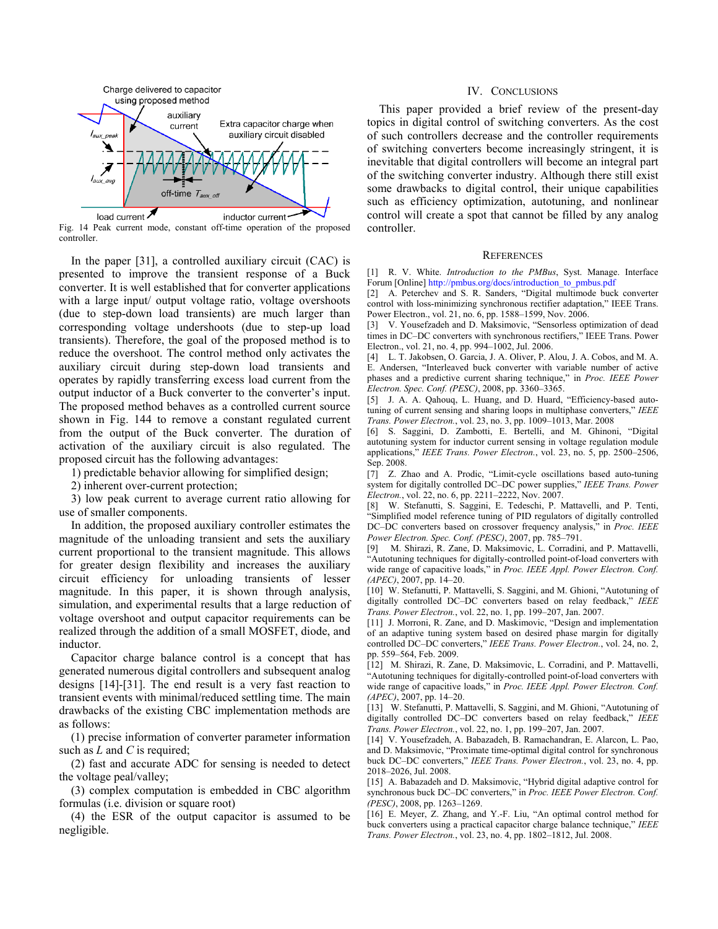

Fig. 14 Peak current mode, constant off-time operation of the proposed controller.

In the paper [31], a controlled auxiliary circuit (CAC) is presented to improve the transient response of a Buck converter. It is well established that for converter applications with a large input/ output voltage ratio, voltage overshoots (due to step-down load transients) are much larger than corresponding voltage undershoots (due to step-up load transients). Therefore, the goal of the proposed method is to reduce the overshoot. The control method only activates the auxiliary circuit during step-down load transients and operates by rapidly transferring excess load current from the output inductor of a Buck converter to the converter's input. The proposed method behaves as a controlled current source shown in Fig. 144 to remove a constant regulated current from the output of the Buck converter. The duration of activation of the auxiliary circuit is also regulated. The proposed circuit has the following advantages:

1) predictable behavior allowing for simplified design;

2) inherent over-current protection;

3) low peak current to average current ratio allowing for use of smaller components.

In addition, the proposed auxiliary controller estimates the magnitude of the unloading transient and sets the auxiliary current proportional to the transient magnitude. This allows for greater design flexibility and increases the auxiliary circuit efficiency for unloading transients of lesser magnitude. In this paper, it is shown through analysis, simulation, and experimental results that a large reduction of voltage overshoot and output capacitor requirements can be realized through the addition of a small MOSFET, diode, and inductor.

Capacitor charge balance control is a concept that has generated numerous digital controllers and subsequent analog designs [14]-[31]. The end result is a very fast reaction to transient events with minimal/reduced settling time. The main drawbacks of the existing CBC implementation methods are as follows:

(1) precise information of converter parameter information such as *L* and *C* is required;

(2) fast and accurate ADC for sensing is needed to detect the voltage peal/valley;

(3) complex computation is embedded in CBC algorithm formulas (i.e. division or square root)

(4) the ESR of the output capacitor is assumed to be negligible.

# IV. CONCLUSIONS

This paper provided a brief review of the present-day topics in digital control of switching converters. As the cost of such controllers decrease and the controller requirements of switching converters become increasingly stringent, it is inevitable that digital controllers will become an integral part of the switching converter industry. Although there still exist some drawbacks to digital control, their unique capabilities such as efficiency optimization, autotuning, and nonlinear control will create a spot that cannot be filled by any analog controller.

#### **REFERENCES**

[1] R. V. White. *Introduction to the PMBus*, Syst. Manage. Interface Forum [Online] http://pmbus.org/docs/introduction\_to\_pmbus.pdf

[2] A. Peterchev and S. R. Sanders, "Digital multimode buck converter control with loss-minimizing synchronous rectifier adaptation," IEEE Trans. Power Electron., vol. 21, no. 6, pp. 1588–1599, Nov. 2006.

[3] V. Yousefzadeh and D. Maksimovic, "Sensorless optimization of dead times in DC–DC converters with synchronous rectifiers," IEEE Trans. Power Electron., vol. 21, no. 4, pp. 994–1002, Jul. 2006.

[4] L. T. Jakobsen, O. Garcia, J. A. Oliver, P. Alou, J. A. Cobos, and M. A. E. Andersen, "Interleaved buck converter with variable number of active phases and a predictive current sharing technique," in *Proc. IEEE Power Electron. Spec. Conf. (PESC)*, 2008, pp. 3360–3365.

[5] J. A. A. Qahouq, L. Huang, and D. Huard, "Efficiency-based autotuning of current sensing and sharing loops in multiphase converters," *IEEE Trans. Power Electron.*, vol. 23, no. 3, pp. 1009–1013, Mar. 2008

[6] S. Saggini, D. Zambotti, E. Bertelli, and M. Ghinoni, "Digital autotuning system for inductor current sensing in voltage regulation module applications," *IEEE Trans. Power Electron.*, vol. 23, no. 5, pp. 2500–2506, Sep. 2008.

[7] Z. Zhao and A. Prodic, "Limit-cycle oscillations based auto-tuning system for digitally controlled DC–DC power supplies," *IEEE Trans. Power Electron.*, vol. 22, no. 6, pp. 2211–2222, Nov. 2007.

[8] W. Stefanutti, S. Saggini, E. Tedeschi, P. Mattavelli, and P. Tenti, "Simplified model reference tuning of PID regulators of digitally controlled DC–DC converters based on crossover frequency analysis," in *Proc. IEEE Power Electron. Spec. Conf. (PESC)*, 2007, pp. 785–791.

[9] M. Shirazi, R. Zane, D. Maksimovic, L. Corradini, and P. Mattavelli, "Autotuning techniques for digitally-controlled point-of-load converters with wide range of capacitive loads," in *Proc. IEEE Appl. Power Electron. Conf. (APEC)*, 2007, pp. 14–20.

[10] W. Stefanutti, P. Mattavelli, S. Saggini, and M. Ghioni, "Autotuning of digitally controlled DC–DC converters based on relay feedback," *IEEE Trans. Power Electron.*, vol. 22, no. 1, pp. 199–207, Jan. 2007.

[11] J. Morroni, R. Zane, and D. Maskimovic, "Design and implementation of an adaptive tuning system based on desired phase margin for digitally controlled DC–DC converters," *IEEE Trans. Power Electron.*, vol. 24, no. 2, pp. 559–564, Feb. 2009.

[12] M. Shirazi, R. Zane, D. Maksimovic, L. Corradini, and P. Mattavelli, "Autotuning techniques for digitally-controlled point-of-load converters with wide range of capacitive loads," in *Proc. IEEE Appl. Power Electron. Conf. (APEC)*, 2007, pp. 14–20.

[13] W. Stefanutti, P. Mattavelli, S. Saggini, and M. Ghioni, "Autotuning of digitally controlled DC–DC converters based on relay feedback," *IEEE Trans. Power Electron.*, vol. 22, no. 1, pp. 199–207, Jan. 2007.

[14] V. Yousefzadeh, A. Babazadeh, B. Ramachandran, E. Alarcon, L. Pao, and D. Maksimovic, "Proximate time-optimal digital control for synchronous buck DC–DC converters," *IEEE Trans. Power Electron.*, vol. 23, no. 4, pp. 2018–2026, Jul. 2008.

[15] A. Babazadeh and D. Maksimovic, "Hybrid digital adaptive control for synchronous buck DC–DC converters," in *Proc. IEEE Power Electron. Conf. (PESC)*, 2008, pp. 1263–1269.

[16] E. Meyer, Z. Zhang, and Y.-F. Liu, "An optimal control method for buck converters using a practical capacitor charge balance technique," *IEEE Trans. Power Electron.*, vol. 23, no. 4, pp. 1802–1812, Jul. 2008.